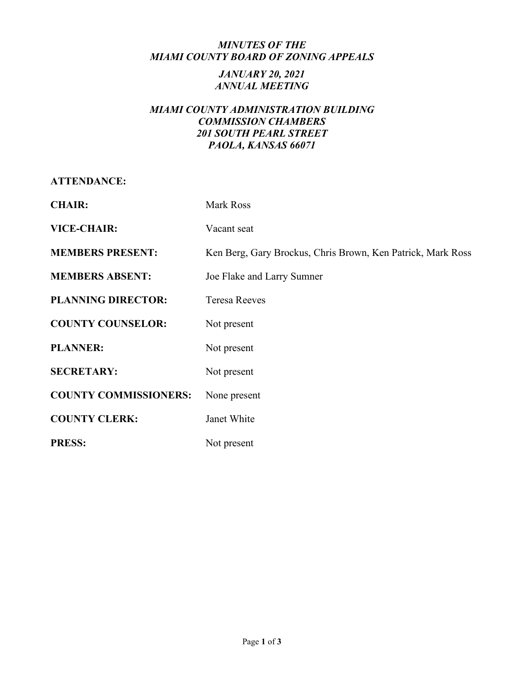## *MINUTES OF THE MIAMI COUNTY BOARD OF ZONING APPEALS*

## *JANUARY 20, 2021 ANNUAL MEETING*

# *MIAMI COUNTY ADMINISTRATION BUILDING COMMISSION CHAMBERS 201 SOUTH PEARL STREET PAOLA, KANSAS 66071*

**ATTENDANCE:**

| <b>CHAIR:</b>                | Mark Ross                                                   |
|------------------------------|-------------------------------------------------------------|
| <b>VICE-CHAIR:</b>           | Vacant seat                                                 |
| <b>MEMBERS PRESENT:</b>      | Ken Berg, Gary Brockus, Chris Brown, Ken Patrick, Mark Ross |
| <b>MEMBERS ABSENT:</b>       | Joe Flake and Larry Sumner                                  |
| <b>PLANNING DIRECTOR:</b>    | <b>Teresa Reeves</b>                                        |
| <b>COUNTY COUNSELOR:</b>     | Not present                                                 |
| <b>PLANNER:</b>              | Not present                                                 |
| <b>SECRETARY:</b>            | Not present                                                 |
| <b>COUNTY COMMISSIONERS:</b> | None present                                                |
| <b>COUNTY CLERK:</b>         | Janet White                                                 |
| <b>PRESS:</b>                | Not present                                                 |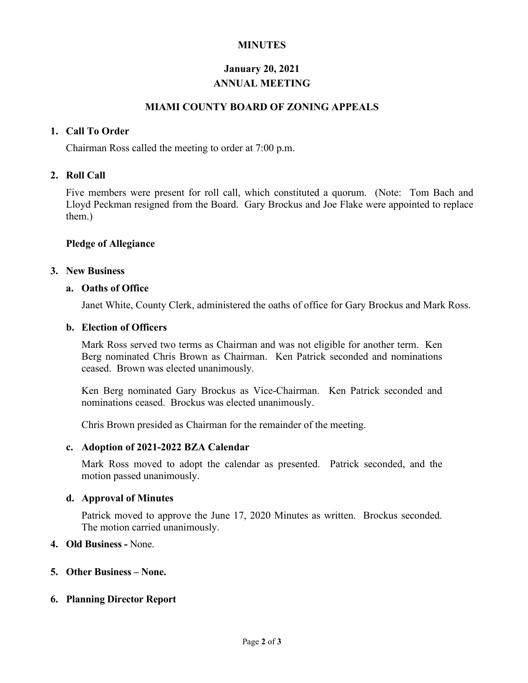# **MINUTES**

# **January 20, 2021 ANNUAL MEETING**

## **MIAMI COUNTY BOARD OF ZONING APPEALS**

#### **1. Call To Order**

Chairman Ross called the meeting to order at 7:00 p.m.

# **2. Roll Call**

Five members were present for roll call, which constituted a quorum. (Note: Tom Bach and Lloyd Peckman resigned from the Board. Gary Brockus and Joe Flake were appointed to replace them.)

#### **Pledge of Allegiance**

#### **3. New Business**

#### **a. Oaths of Office**

Janet White, County Clerk, administered the oaths of office for Gary Brockus and Mark Ross.

#### **b. Election of Officers**

Mark Ross served two terms as Chairman and was not eligible for another term. Ken Berg nominated Chris Brown as Chairman. Ken Patrick seconded and nominations ceased. Brown was elected unanimously.

Ken Berg nominated Gary Brockus as Vice-Chairman. Ken Patrick seconded and nominations ceased. Brockus was elected unanimously.

Chris Brown presided as Chairman for the remainder of the meeting.

#### **c. Adoption of 2021-2022 BZA Calendar**

Mark Ross moved to adopt the calendar as presented. Patrick seconded, and the motion passed unanimously.

#### **d. Approval of Minutes**

Patrick moved to approve the June 17, 2020 Minutes as written. Brockus seconded. The motion carried unanimously.

#### **4. Old Business -** None.

#### **5. Other Business – None.**

#### **6. Planning Director Report**